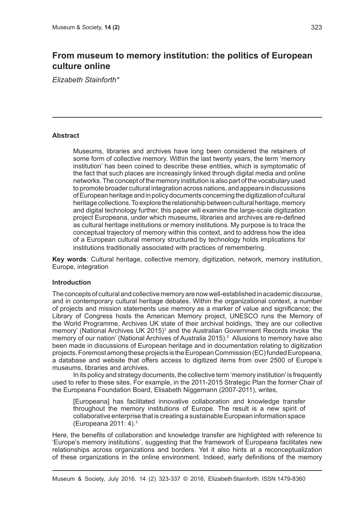# **From museum to memory institution: the politics of European culture online**

*Elizabeth Stainforth\**

#### **Abstract**

Museums, libraries and archives have long been considered the retainers of some form of collective memory. Within the last twenty years, the term 'memory institution' has been coined to describe these entities, which is symptomatic of the fact that such places are increasingly linked through digital media and online networks. The concept of the memory institution is also part of the vocabulary used to promote broader cultural integration across nations, and appears in discussions of European heritage and in policy documents concerning the digitization of cultural heritage collections. To explore the relationship between cultural heritage, memory and digital technology further, this paper will examine the large-scale digitization project Europeana, under which museums, libraries and archives are re-defined as cultural heritage institutions or memory institutions. My purpose is to trace the conceptual trajectory of memory within this context, and to address how the idea of a European cultural memory structured by technology holds implications for institutions traditionally associated with practices of remembering.

**Key words**: Cultural heritage, collective memory, digitization, network, memory institution, Europe, integration

## **Introduction**

The concepts of cultural and collective memory are now well-established in academic discourse, and in contemporary cultural heritage debates. Within the organizational context, a number of projects and mission statements use memory as a marker of value and significance; the Library of Congress hosts the American Memory project, UNESCO runs the Memory of the World Programme, Archives UK state of their archival holdings, 'they are our collective memory' (National Archives UK 2015)<sup>1</sup> and the Australian Government Records invoke 'the memory of our nation' (National Archives of Australia 2015).<sup>2</sup> Allusions to memory have also been made in discussions of European heritage and in documentation relating to digitization projects. Foremost among these projects is the European Commission (EC) funded Europeana, a database and website that offers access to digitized items from over 2500 of Europe's museums, libraries and archives.

In its policy and strategy documents, the collective term 'memory institution' is frequently used to refer to these sites. For example, in the 2011-2015 Strategic Plan the former Chair of the Europeana Foundation Board, Elisabeth Niggemann (2007-2011), writes,

[Europeana] has facilitated innovative collaboration and knowledge transfer throughout the memory institutions of Europe. The result is a new spirit of collaborative enterprise that is creating a sustainable European information space (Europeana 2011: 4).3

Here, the benefits of collaboration and knowledge transfer are highlighted with reference to 'Europe's memory institutions', suggesting that the framework of Europeana facilitates new relationships across organizations and borders. Yet it also hints at a reconceptualization of these organizations in the online environment. Indeed, early definitions of the memory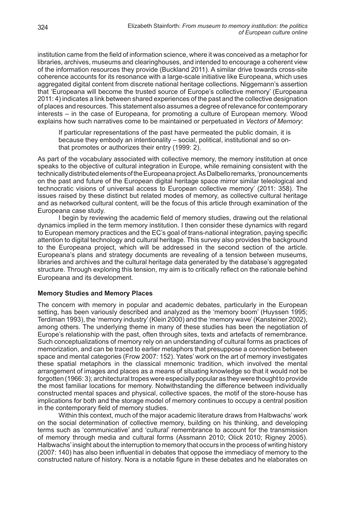institution came from the field of information science, where it was conceived as a metaphor for libraries, archives, museums and clearinghouses, and intended to encourage a coherent view of the information resources they provide (Buckland 2011). A similar drive towards cross-site coherence accounts for its resonance with a large-scale initiative like Europeana, which uses aggregated digital content from discrete national heritage collections. Niggemann's assertion that 'Europeana will become the trusted source of Europe's collective memory' (Europeana 2011: 4) indicates a link between shared experiences of the past and the collective designation of places and resources. This statement also assumes a degree of relevance for contemporary interests – in the case of Europeana, for promoting a culture of European memory. Wood explains how such narratives come to be maintained or perpetuated in *Vectors of Memory*:

If particular representations of the past have permeated the public domain, it is because they embody an intentionality – social, political, institutional and so onthat promotes or authorizes their entry (1999: 2).

As part of the vocabulary associated with collective memory, the memory institution at once speaks to the objective of cultural integration in Europe, while remaining consistent with the technically distributed elements of the Europeana project. As Dalbello remarks, 'pronouncements on the past and future of the European digital heritage space mirror similar teleological and technocratic visions of universal access to European collective memory' (2011: 358). The issues raised by these distinct but related modes of memory, as collective cultural heritage and as networked cultural content, will be the focus of this article through examination of the Europeana case study.

I begin by reviewing the academic field of memory studies, drawing out the relational dynamics implied in the term memory institution. I then consider these dynamics with regard to European memory practices and the EC's goal of trans-national integration, paying specific attention to digital technology and cultural heritage. This survey also provides the background to the Europeana project, which will be addressed in the second section of the article. Europeana's plans and strategy documents are revealing of a tension between museums, libraries and archives and the cultural heritage data generated by the database's aggregated structure. Through exploring this tension, my aim is to critically reflect on the rationale behind Europeana and its development.

#### **Memory Studies and Memory Places**

The concern with memory in popular and academic debates, particularly in the European setting, has been variously described and analyzed as the 'memory boom' (Huyssen 1995; Terdiman 1993), the 'memory industry' (Klein 2000) and the 'memory wave' (Kansteiner 2002), among others. The underlying theme in many of these studies has been the negotiation of Europe's relationship with the past, often through sites, texts and artefacts of remembrance. Such conceptualizations of memory rely on an understanding of cultural forms as practices of memorization, and can be traced to earlier metaphors that presuppose a connection between space and mental categories (Frow 2007: 152). Yates' work on the art of memory investigates these spatial metaphors in the classical mnemonic tradition, which involved the mental arrangement of images and places as a means of situating knowledge so that it would not be forgotten (1966: 3); architectural tropes were especially popular as they were thought to provide the most familiar locations for memory. Notwithstanding the difference between individually constructed mental spaces and physical, collective spaces, the motif of the store-house has implications for both and the storage model of memory continues to occupy a central position in the contemporary field of memory studies.

Within this context, much of the major academic literature draws from Halbwachs' work on the social determination of collective memory, building on his thinking, and developing terms such as 'communicative' and 'cultural' remembrance to account for the transmission of memory through media and cultural forms (Assmann 2010; Olick 2010; Rigney 2005). Halbwachs' insight about the interruption to memory that occurs in the process of writing history (2007: 140) has also been influential in debates that oppose the immediacy of memory to the constructed nature of history. Nora is a notable figure in these debates and he elaborates on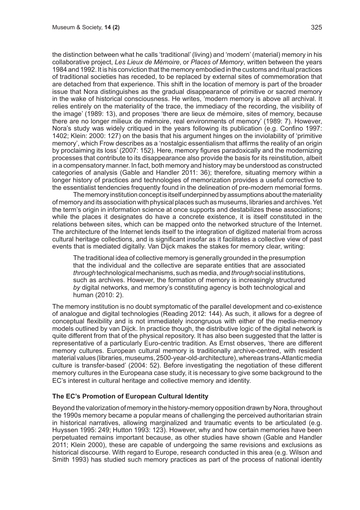the distinction between what he calls 'traditional' (living) and 'modern' (material) memory in his collaborative project, *Les Lieux de Mémoire*, or *Places of Memory*, written between the years 1984 and 1992. It is his conviction that the memory embodied in the customs and ritual practices of traditional societies has receded, to be replaced by external sites of commemoration that are detached from that experience. This shift in the location of memory is part of the broader issue that Nora distinguishes as the gradual disappearance of primitive or sacred memory in the wake of historical consciousness. He writes, 'modern memory is above all archival. It relies entirely on the materiality of the trace, the immediacy of the recording, the visibility of the image' (1989: 13), and proposes 'there are lieux de mémoire, sites of memory, because there are no longer milieux de mémoire, real environments of memory' (1989: 7). However, Nora's study was widely critiqued in the years following its publication (e.g. Confino 1997: 1402; Klein: 2000: 127) on the basis that his argument hinges on the inviolability of 'primitive memory', which Frow describes as a 'nostalgic essentialism that affirms the reality of an origin by proclaiming its loss' (2007: 152). Here, memory figures paradoxically and the modernizing processes that contribute to its disappearance also provide the basis for its reinstitution, albeit in a compensatory manner. In fact, both memory and history may be understood as constructed categories of analysis (Gable and Handler 2011: 36); therefore, situating memory within a longer history of practices and technologies of memorization provides a useful corrective to the essentialist tendencies frequently found in the delineation of pre-modern memorial forms.

The memory institution concept is itself underpinned by assumptions about the materiality of memory and its association with physical places such as museums, libraries and archives. Yet the term's origin in information science at once supports and destabilizes these associations; while the places it designates do have a concrete existence, it is itself constituted in the relations between sites, which can be mapped onto the networked structure of the Internet. The architecture of the Internet lends itself to the integration of digitized material from across cultural heritage collections, and is significant insofar as it facilitates a collective view of past events that is mediated digitally. Van Dijck makes the stakes for memory clear, writing:

The traditional idea of collective memory is generally grounded in the presumption that the individual and the collective are separate entities that are associated *through* technological mechanisms, such as media, and *through* social institutions, such as archives. However, the formation of memory is increasingly structured *by* digital networks, and memory's constituting agency is both technological and human (2010: 2).

The memory institution is no doubt symptomatic of the parallel development and co-existence of analogue and digital technologies (Reading 2012: 144). As such, it allows for a degree of conceptual flexibility and is not immediately incongruous with either of the media-memory models outlined by van Dijck. In practice though, the distributive logic of the digital network is quite different from that of the physical repository. It has also been suggested that the latter is representative of a particularly Euro-centric tradition. As Ernst observes, 'there are different memory cultures. European cultural memory is traditionally archive-centred, with resident material values (libraries, museums, 2500-year-old-architecture), whereas trans-Atlantic media culture is transfer-based' (2004: 52). Before investigating the negotiation of these different memory cultures in the Europeana case study, it is necessary to give some background to the EC's interest in cultural heritage and collective memory and identity.

## **The EC's Promotion of European Cultural Identity**

Beyond the valorization of memory in the history-memory opposition drawn by Nora, throughout the 1990s memory became a popular means of challenging the perceived authoritarian strain in historical narratives, allowing marginalized and traumatic events to be articulated (e.g. Huyssen 1995: 249; Hutton 1993: 123). However, why and how certain memories have been perpetuated remains important because, as other studies have shown (Gable and Handler 2011; Klein 2000), these are capable of undergoing the same revisions and exclusions as historical discourse. With regard to Europe, research conducted in this area (e.g. Wilson and Smith 1993) has studied such memory practices as part of the process of national identity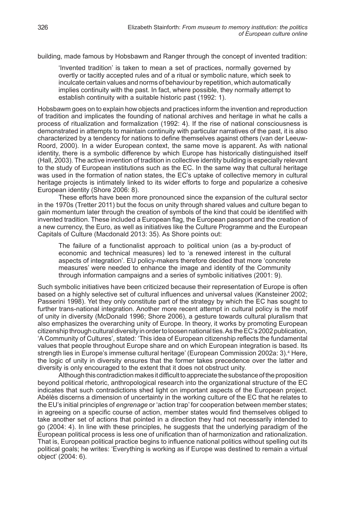building, made famous by Hobsbawm and Ranger through the concept of invented tradition:

'Invented tradition' is taken to mean a set of practices, normally governed by overtly or tacitly accepted rules and of a ritual or symbolic nature, which seek to inculcate certain values and norms of behaviour by repetition, which automatically implies continuity with the past. In fact, where possible, they normally attempt to establish continuity with a suitable historic past (1992: 1).

Hobsbawm goes on to explain how objects and practices inform the invention and reproduction of tradition and implicates the founding of national archives and heritage in what he calls a process of ritualization and formalization (1992: 4). If the rise of national consciousness is demonstrated in attempts to maintain continuity with particular narratives of the past, it is also characterized by a tendency for nations to define themselves against others (van der Leeuw-Roord, 2000). In a wider European context, the same move is apparent. As with national identity, there is a symbolic difference by which Europe has historically distinguished itself (Hall, 2003). The active invention of tradition in collective identity building is especially relevant to the study of European institutions such as the EC. In the same way that cultural heritage was used in the formation of nation states, the EC's uptake of collective memory in cultural heritage projects is intimately linked to its wider efforts to forge and popularize a cohesive European identity (Shore 2006: 8).

These efforts have been more pronounced since the expansion of the cultural sector in the 1970s (Tretter 2011) but the focus on unity through shared values and culture began to gain momentum later through the creation of symbols of the kind that could be identified with invented tradition. These included a European flag, the European passport and the creation of a new currency, the Euro, as well as initiatives like the Culture Programme and the European Capitals of Culture (Macdonald 2013: 35). As Shore points out:

The failure of a functionalist approach to political union (as a by-product of economic and technical measures) led to 'a renewed interest in the cultural aspects of integration'. EU policy-makers therefore decided that more 'concrete measures' were needed to enhance the image and identity of the Community through information campaigns and a series of symbolic initiatives (2001: 9).

Such symbolic initiatives have been criticized because their representation of Europe is often based on a highly selective set of cultural influences and universal values (Kansteiner 2002; Passerini 1998). Yet they only constitute part of the strategy by which the EC has sought to further trans-national integration. Another more recent attempt in cultural policy is the motif of unity in diversity (McDonald 1996; Shore 2006), a gesture towards cultural pluralism that also emphasizes the overarching unity of Europe. In theory, it works by promoting European citizenship through cultural diversity in order to loosen national ties. As the EC's 2002 publication, 'A Community of Cultures', stated: 'This idea of European citizenship reflects the fundamental values that people throughout Europe share and on which European integration is based. Its strength lies in Europe's immense cultural heritage' (European Commission 2002a: 3).<sup>4</sup> Here, the logic of unity in diversity ensures that the former takes precedence over the latter and diversity is only encouraged to the extent that it does not obstruct unity.

Although this contradiction makes it difficult to appreciate the substance of the proposition beyond political rhetoric, anthropological research into the organizational structure of the EC indicates that such contradictions shed light on important aspects of the European project. Abélès discerns a dimension of uncertainty in the working culture of the EC that he relates to the EU's initial principles of *engrenage* or 'action trap' for cooperation between member states; in agreeing on a specific course of action, member states would find themselves obliged to take another set of actions that pointed in a direction they had not necessarily intended to go (2004: 4). In line with these principles, he suggests that the underlying paradigm of the European political process is less one of unification than of harmonization and rationalization. That is, European political practice begins to influence national politics without spelling out its political goals; he writes: 'Everything is working as if Europe was destined to remain a virtual object' (2004: 6).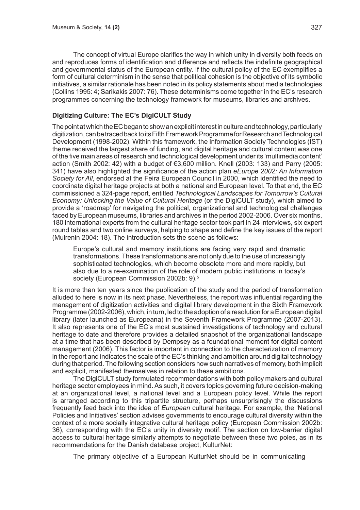The concept of virtual Europe clarifies the way in which unity in diversity both feeds on and reproduces forms of identification and difference and reflects the indefinite geographical and governmental status of the European entity. If the cultural policy of the EC exemplifies a form of cultural determinism in the sense that political cohesion is the objective of its symbolic initiatives, a similar rationale has been noted in its policy statements about media technologies (Collins 1995: 4; Sarikakis 2007: 76). These determinisms come together in the EC's research programmes concerning the technology framework for museums, libraries and archives.

# **Digitizing Culture: The EC's DigiCULT Study**

The point at which the EC began to show an explicit interest in culture and technology, particularly digitization, can be traced back to its Fifth Framework Programme for Research and Technological Development (1998-2002). Within this framework, the Information Society Technologies (IST) theme received the largest share of funding, and digital heritage and cultural content was one of the five main areas of research and technological development under its 'multimedia content' action (Smith 2002: 42) with a budget of €3,600 million. Knell (2003: 133) and Parry (2005: 341) have also highlighted the significance of the action plan *eEurope 2002: An Information Society for All*, endorsed at the Feira European Council in 2000, which identified the need to coordinate digital heritage projects at both a national and European level. To that end, the EC commissioned a 324-page report, entitled *Technological Landscapes for Tomorrow's Cultural Economy: Unlocking the Value of Cultural Heritage* (or the DigiCULT study), which aimed to provide a 'roadmap' for navigating the political, organizational and technological challenges faced by European museums, libraries and archives in the period 2002-2006. Over six months, 180 international experts from the cultural heritage sector took part in 24 interviews, six expert round tables and two online surveys, helping to shape and define the key issues of the report (Mulrenin 2004: 18). The introduction sets the scene as follows:

Europe's cultural and memory institutions are facing very rapid and dramatic transformations. These transformations are not only due to the use of increasingly sophisticated technologies, which become obsolete more and more rapidly, but also due to a re-examination of the role of modern public institutions in today's society (European Commission 2002b: 9).<sup>5</sup>

It is more than ten years since the publication of the study and the period of transformation alluded to here is now in its next phase. Nevertheless, the report was influential regarding the management of digitization activities and digital library development in the Sixth Framework Programme (2002-2006), which, in turn, led to the adoption of a resolution for a European digital library (later launched as Europeana) in the Seventh Framework Programme (2007-2013). It also represents one of the EC's most sustained investigations of technology and cultural heritage to date and therefore provides a detailed snapshot of the organizational landscape at a time that has been described by Dempsey as a foundational moment for digital content management (2006). This factor is important in connection to the characterization of memory in the report and indicates the scale of the EC's thinking and ambition around digital technology during that period. The following section considers how such narratives of memory, both implicit and explicit, manifested themselves in relation to these ambitions.

The DigiCULT study formulated recommendations with both policy makers and cultural heritage sector employees in mind. As such, it covers topics governing future decision-making at an organizational level, a national level and a European policy level. While the report is arranged according to this tripartite structure, perhaps unsurprisingly the discussions frequently feed back into the idea of *European* cultural heritage. For example, the 'National Policies and Initiatives' section advises governments to encourage cultural diversity within the context of a more socially integrative cultural heritage policy (European Commission 2002b: 36), corresponding with the EC's unity in diversity motif. The section on low-barrier digital access to cultural heritage similarly attempts to negotiate between these two poles, as in its recommendations for the Danish database project, KulturNet:

The primary objective of a European KulturNet should be in communicating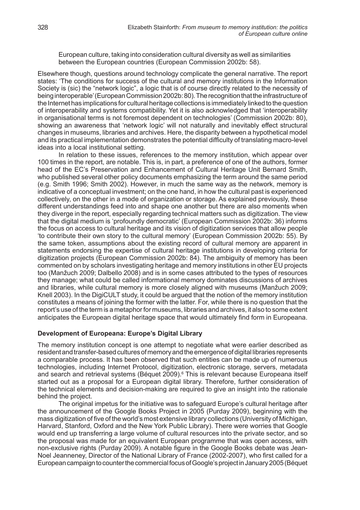European culture, taking into consideration cultural diversity as well as similarities between the European countries (European Commission 2002b: 58).

Elsewhere though, questions around technology complicate the general narrative. The report states: 'The conditions for success of the cultural and memory institutions in the Information Society is (sic) the "network logic", a logic that is of course directly related to the necessity of being interoperable' (European Commission 2002b: 80). The recognition that the infrastructure of the Internet has implications for cultural heritage collections is immediately linked to the question of interoperability and systems compatibility. Yet it is also acknowledged that 'interoperability in organisational terms is not foremost dependent on technologies' (Commission 2002b: 80), showing an awareness that 'network logic' will not naturally and inevitably effect structural changes in museums, libraries and archives. Here, the disparity between a hypothetical model and its practical implementation demonstrates the potential difficulty of translating macro-level ideas into a local institutional setting.

In relation to these issues, references to the memory institution, which appear over 100 times in the report, are notable. This is, in part, a preference of one of the authors, former head of the EC's Preservation and Enhancement of Cultural Heritage Unit Bernard Smith, who published several other policy documents emphasizing the term around the same period (e.g. Smith 1996; Smith 2002). However, in much the same way as the network, memory is indicative of a conceptual investment; on the one hand, in how the cultural past is experienced collectively, on the other in a mode of organization or storage. As explained previously, these different understandings feed into and shape one another but there are also moments when they diverge in the report, especially regarding technical matters such as digitization. The view that the digital medium is 'profoundly democratic' (European Commission 2002b: 36) informs the focus on access to cultural heritage and its vision of digitization services that allow people 'to contribute their own story to the cultural memory' (European Commission 2002b: 55). By the same token, assumptions about the existing record of cultural memory are apparent in statements endorsing the expertise of cultural heritage institutions in developing criteria for digitization projects (European Commission 2002b: 84). The ambiguity of memory has been commented on by scholars investigating heritage and memory institutions in other EU projects too (Manžuch 2009; Dalbello 2008) and is in some cases attributed to the types of resources they manage; what could be called informational memory dominates discussions of archives and libraries, while cultural memory is more closely aligned with museums (Manžuch 2009; Knell 2003). In the DigiCULT study, it could be argued that the notion of the memory institution constitutes a means of joining the former with the latter. For, while there is no question that the report's use of the term is a metaphor for museums, libraries and archives, it also to some extent anticipates the European digital heritage space that would ultimately find form in Europeana.

#### **Development of Europeana: Europe's Digital Library**

The memory institution concept is one attempt to negotiate what were earlier described as resident and transfer-based cultures of memory and the emergence of digital libraries represents a comparable process. It has been observed that such entities can be made up of numerous technologies, including Internet Protocol, digitization, electronic storage, servers, metadata and search and retrieval systems (Béquet 2009).<sup>6</sup> This is relevant because Europeana itself started out as a proposal for a European digital library. Therefore, further consideration of the technical elements and decision-making are required to give an insight into the rationale behind the project.

The original impetus for the initiative was to safeguard Europe's cultural heritage after the announcement of the Google Books Project in 2005 (Purday 2009), beginning with the mass digitization of five of the world's most extensive library collections (University of Michigan, Harvard, Stanford, Oxford and the New York Public Library). There were worries that Google would end up transferring a large volume of cultural resources into the private sector, and so the proposal was made for an equivalent European programme that was open access, with non-exclusive rights (Purday 2009). A notable figure in the Google Books debate was Jean-Noel Jeanneney, Director of the National Library of France (2002-2007), who first called for a European campaign to counter the commercial focus of Google's project in January 2005 (Béquet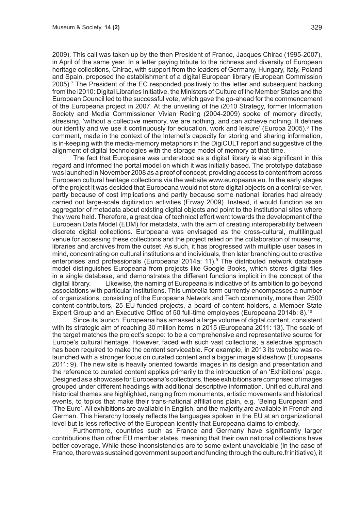2009). This call was taken up by the then President of France, Jacques Chirac (1995-2007), in April of the same year. In a letter paying tribute to the richness and diversity of European heritage collections, Chirac, with support from the leaders of Germany, Hungary, Italy, Poland and Spain, proposed the establishment of a digital European library (European Commission 2005).7 The President of the EC responded positively to the letter and subsequent backing from the i2010: Digital Libraries Initiative, the Ministers of Culture of the Member States and the European Council led to the successful vote, which gave the go-ahead for the commencement of the Europeana project in 2007. At the unveiling of the i2010 Strategy, former Information Society and Media Commissioner Vivian Reding (2004-2009) spoke of memory directly, stressing, 'without a collective memory, we are nothing, and can achieve nothing. It defines our identity and we use it continuously for education, work and leisure' (Europa 2005).<sup>8</sup> The comment, made in the context of the Internet's capacity for storing and sharing information, is in-keeping with the media-memory metaphors in the DigiCULT report and suggestive of the alignment of digital technologies with the storage model of memory at that time.

The fact that Europeana was understood as a digital library is also significant in this regard and informed the portal model on which it was initially based. The prototype database was launched in November 2008 as a proof of concept, providing access to content from across European cultural heritage collections via the website www.europeana.eu. In the early stages of the project it was decided that Europeana would not store digital objects on a central server, partly because of cost implications and partly because some national libraries had already carried out large-scale digitization activities (Erway 2009). Instead, it would function as an aggregator of metadata about existing digital objects and point to the institutional sites where they were held. Therefore, a great deal of technical effort went towards the development of the European Data Model (EDM) for metadata, with the aim of creating interoperability between discrete digital collections. Europeana was envisaged as the cross-cultural, multilingual venue for accessing these collections and the project relied on the collaboration of museums, libraries and archives from the outset. As such, it has progressed with multiple user bases in mind, concentrating on cultural institutions and individuals, then later branching out to creative enterprises and professionals (Europeana 2014a: 11).9 The distributed network database model distinguishes Europeana from projects like Google Books, which stores digital files in a single database, and demonstrates the different functions implicit in the concept of the digital library. Likewise, the naming of Europeana is indicative of its ambition to go beyond associations with particular institutions. This umbrella term currently encompasses a number of organizations, consisting of the Europeana Network and Tech community, more than 2500 content-contributors, 25 EU-funded projects, a board of content holders, a Member State Expert Group and an Executive Office of 50 full-time employees (Europeana 2014b: 8).<sup>10</sup>

Since its launch, Europeana has amassed a large volume of digital content, consistent with its strategic aim of reaching 30 million items in 2015 (Europeana 2011: 13). The scale of the target matches the project's scope: to be a comprehensive and representative source for Europe's cultural heritage. However, faced with such vast collections, a selective approach has been required to make the content serviceable. For example, in 2013 its website was relaunched with a stronger focus on curated content and a bigger image slideshow (Europeana 2011: 9). The new site is heavily oriented towards images in its design and presentation and the reference to curated content applies primarily to the introduction of an 'Exhibitions' page. Designed as a showcase for Europeana's collections, these exhibitions are comprised of images grouped under different headings with additional descriptive information. Unified cultural and historical themes are highlighted, ranging from monuments, artistic movements and historical events, to topics that make their trans-national affiliations plain, e.g. 'Being European' and 'The Euro'. All exhibitions are available in English, and the majority are available in French and German. This hierarchy loosely reflects the languages spoken in the EU at an organizational level but is less reflective of the European identity that Europeana claims to embody.

Furthermore, countries such as France and Germany have significantly larger contributions than other EU member states, meaning that their own national collections have better coverage. While these inconsistencies are to some extent unavoidable (in the case of France, there was sustained government support and funding through the culture.fr initiative), it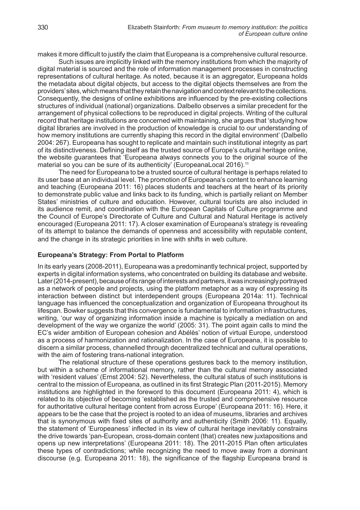makes it more difficult to justify the claim that Europeana is a comprehensive cultural resource.

Such issues are implicitly linked with the memory institutions from which the majority of digital material is sourced and the role of information management processes in constructing representations of cultural heritage. As noted, because it is an aggregator, Europeana holds the metadata about digital objects, but access to the digital objects themselves are from the providers' sites, which means that they retain the navigation and context relevant to the collections. Consequently, the designs of online exhibitions are influenced by the pre-existing collections structures of individual (national) organizations. Dalbello observes a similar precedent for the arrangement of physical collections to be reproduced in digital projects. Writing of the cultural record that heritage institutions are concerned with maintaining, she argues that 'studying how digital libraries are involved in the production of knowledge is crucial to our understanding of how memory institutions are currently shaping this record in the digital environment' (Dalbello 2004: 267). Europeana has sought to replicate and maintain such institutional integrity as part of its distinctiveness. Defining itself as the trusted source of Europe's cultural heritage online, the website guarantees that 'Europeana always connects you to the original source of the material so you can be sure of its authenticity' (EuropeanaLocal 2016).<sup>11</sup>

The need for Europeana to be a trusted source of cultural heritage is perhaps related to its user base at an individual level. The promotion of Europeana's content to enhance learning and teaching (Europeana 2011: 16) places students and teachers at the heart of its priority to demonstrate public value and links back to its funding, which is partially reliant on Member States' ministries of culture and education. However, cultural tourists are also included in its audience remit, and coordination with the European Capitals of Culture programme and the Council of Europe's Directorate of Culture and Cultural and Natural Heritage is actively encouraged (Europeana 2011: 17). A closer examination of Europeana's strategy is revealing of its attempt to balance the demands of openness and accessibility with reputable content, and the change in its strategic priorities in line with shifts in web culture.

#### **Europeana's Strategy: From Portal to Platform**

In its early years (2008-2011), Europeana was a predominantly technical project, supported by experts in digital information systems, who concentrated on building its database and website. Later (2014-present), because of its range of interests and partners, it was increasingly portrayed as a network of people and projects, using the platform metaphor as a way of expressing its interaction between distinct but interdependent groups (Europeana 2014a: 11). Technical language has influenced the conceptualization and organization of Europeana throughout its lifespan. Bowker suggests that this convergence is fundamental to information infrastructures, writing, 'our way of organizing information inside a machine is typically a mediation on and development of the way we organize the world' (2005: 31). The point again calls to mind the EC's wider ambition of European cohesion and Abélès' notion of virtual Europe, understood as a process of harmonization and rationalization. In the case of Europeana, it is possible to discern a similar process, channelled through decentralized technical and cultural operations, with the aim of fostering trans-national integration.

The relational structure of these operations gestures back to the memory institution, but within a scheme of informational memory, rather than the cultural memory associated with 'resident values' (Ernst 2004: 52). Nevertheless, the cultural status of such institutions is central to the mission of Europeana, as outlined in its first Strategic Plan (2011-2015). Memory institutions are highlighted in the foreword to this document (Europeana 2011: 4), which is related to its objective of becoming 'established as the trusted and comprehensive resource for authoritative cultural heritage content from across Europe' (Europeana 2011: 16). Here, it appears to be the case that the project is rooted to an idea of museums, libraries and archives that is synonymous with fixed sites of authority and authenticity (Smith 2006: 11). Equally, the statement of 'Europeaness' inflected in its view of cultural heritage inevitably constrains the drive towards 'pan-European, cross-domain content (that) creates new juxtapositions and opens up new interpretations' (Europeana 2011: 18). The 2011-2015 Plan often articulates these types of contradictions; while recognizing the need to move away from a dominant discourse (e.g. Europeana 2011: 18), the significance of the flagship Europeana brand is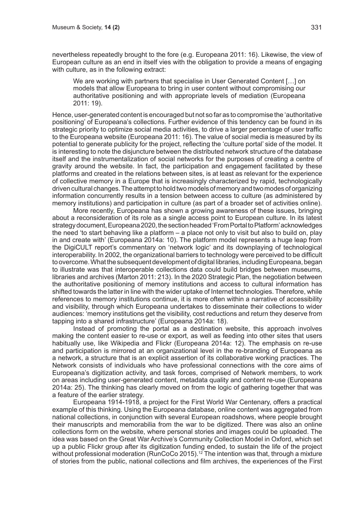nevertheless repeatedly brought to the fore (e.g. Europeana 2011: 16). Likewise, the view of European culture as an end in itself vies with the obligation to provide a means of engaging with culture, as in the following extract:

We are working with partners that specialise in User Generated Content […] on models that allow Europeana to bring in user content without compromising our authoritative positioning and with appropriate levels of mediation (Europeana 2011: 19).

Hence, user-generated content is encouraged but not so far as to compromise the 'authoritative positioning' of Europeana's collections. Further evidence of this tendency can be found in its strategic priority to optimize social media activities, to drive a larger percentage of user traffic to the Europeana website (Europeana 2011: 16). The value of social media is measured by its potential to generate publicity for the project, reflecting the 'culture portal' side of the model. It is interesting to note the disjuncture between the distributed network structure of the database itself and the instrumentalization of social networks for the purposes of creating a centre of gravity around the website. In fact, the participation and engagement facilitated by these platforms and created in the relations between sites, is at least as relevant for the experience of collective memory in a Europe that is increasingly characterized by rapid, technologically driven cultural changes. The attempt to hold two models of memory and two modes of organizing information concurrently results in a tension between access to culture (as administered by memory institutions) and participation in culture (as part of a broader set of activities online).

More recently, Europeana has shown a growing awareness of these issues, bringing about a reconsideration of its role as a single access point to European culture. In its latest strategy document, Europeana 2020, the section headed 'From Portal to Platform' acknowledges the need 'to start behaving like a platform – a place not only to visit but also to build on, play in and create with' (Europeana 2014a: 10). The platform model represents a huge leap from the DigiCULT report's commentary on 'network logic' and its downplaying of technological interoperability. In 2002, the organizational barriers to technology were perceived to be difficult to overcome. What the subsequent development of digital libraries, including Europeana, began to illustrate was that interoperable collections data could build bridges between museums, libraries and archives (Marton 2011: 213). In the 2020 Strategic Plan, the negotiation between the authoritative positioning of memory institutions and access to cultural information has shifted towards the latter in line with the wider uptake of Internet technologies. Therefore, while references to memory institutions continue, it is more often within a narrative of accessibility and visibility, through which Europeana undertakes to disseminate their collections to wider audiences: 'memory institutions get the visibility, cost reductions and return they deserve from tapping into a shared infrastructure' (Europeana 2014a: 18).

Instead of promoting the portal as a destination website, this approach involves making the content easier to re-use or export, as well as feeding into other sites that users habitually use, like Wikipedia and Flickr (Europeana 2014a: 12). The emphasis on re-use and participation is mirrored at an organizational level in the re-branding of Europeana as a network, a structure that is an explicit assertion of its collaborative working practices. The Network consists of individuals who have professional connections with the core aims of Europeana's digitization activity, and task forces, comprised of Network members, to work on areas including user-generated content, metadata quality and content re-use (Europeana 2014a: 25). The thinking has clearly moved on from the logic of gathering together that was a feature of the earlier strategy.

Europeana 1914-1918, a project for the First World War Centenary, offers a practical example of this thinking. Using the Europeana database, online content was aggregated from national collections, in conjunction with several European roadshows, where people brought their manuscripts and memorabilia from the war to be digitized. There was also an online collections form on the website, where personal stories and images could be uploaded. The idea was based on the Great War Archive's Community Collection Model in Oxford, which set up a public Flickr group after its digitization funding ended, to sustain the life of the project without professional moderation (RunCoCo 2015).<sup>12</sup> The intention was that, through a mixture of stories from the public, national collections and film archives, the experiences of the First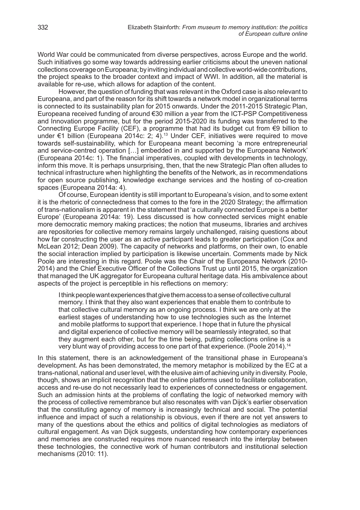World War could be communicated from diverse perspectives, across Europe and the world. Such initiatives go some way towards addressing earlier criticisms about the uneven national collections coverage on Europeana; by inviting individual and collective world-wide contributions, the project speaks to the broader context and impact of WWI. In addition, all the material is available for re-use, which allows for adaption of the content.

However, the question of funding that was relevant in the Oxford case is also relevant to Europeana, and part of the reason for its shift towards a network model in organizational terms is connected to its sustainability plan for 2015 onwards. Under the 2011-2015 Strategic Plan, Europeana received funding of around €30 million a year from the ICT-PSP Competitiveness and Innovation programme, but for the period 2015-2020 its funding was transferred to the Connecting Europe Facility (CEF), a programme that had its budget cut from €9 billion to under €1 billion (Europeana 2014c: 2; 4).13 Under CEF, initiatives were required to move towards self-sustainability, which for Europeana meant becoming 'a more entrepreneurial and service-centred operation […] embedded in and supported by the Europeana Network' (Europeana 2014c: 1). The financial imperatives, coupled with developments in technology, inform this move. It is perhaps unsurprising, then, that the new Strategic Plan often alludes to technical infrastructure when highlighting the benefits of the Network, as in recommendations for open source publishing, knowledge exchange services and the hosting of co-creation spaces (Europeana 2014a: 4).

Of course, European identity is still important to Europeana's vision, and to some extent it is the rhetoric of connectedness that comes to the fore in the 2020 Strategy; the affirmation of trans-nationalism is apparent in the statement that 'a culturally connected Europe is a better Europe' (Europeana 2014a: 19). Less discussed is how connected services might enable more democratic memory making practices; the notion that museums, libraries and archives are repositories for collective memory remains largely unchallenged, raising questions about how far constructing the user as an active participant leads to greater participation (Cox and McLean 2012; Dean 2009). The capacity of networks and platforms, on their own, to enable the social interaction implied by participation is likewise uncertain. Comments made by Nick Poole are interesting in this regard. Poole was the Chair of the Europeana Network (2010- 2014) and the Chief Executive Officer of the Collections Trust up until 2015, the organization that managed the UK aggregator for Europeana cultural heritage data. His ambivalence about aspects of the project is perceptible in his reflections on memory:

I think people want experiences that give them access to a sense of collective cultural memory. I think that they also want experiences that enable them to contribute to that collective cultural memory as an ongoing process. I think we are only at the earliest stages of understanding how to use technologies such as the Internet and mobile platforms to support that experience. I hope that in future the physical and digital experience of collective memory will be seamlessly integrated, so that they augment each other, but for the time being, putting collections online is a very blunt way of providing access to one part of that experience. (Poole 2014).14

In this statement, there is an acknowledgement of the transitional phase in Europeana's development. As has been demonstrated, the memory metaphor is mobilized by the EC at a trans-national, national and user level, with the elusive aim of achieving unity in diversity. Poole, though, shows an implicit recognition that the online platforms used to facilitate collaboration, access and re-use do not necessarily lead to experiences of connectedness or engagement. Such an admission hints at the problems of conflating the logic of networked memory with the process of collective remembrance but also resonates with van Dijck's earlier observation that the constituting agency of memory is increasingly technical and social. The potential influence and impact of such a relationship is obvious, even if there are not yet answers to many of the questions about the ethics and politics of digital technologies as mediators of cultural engagement. As van Dijck suggests, understanding how contemporary experiences and memories are constructed requires more nuanced research into the interplay between these technologies, the connective work of human contributors and institutional selection mechanisms (2010: 11).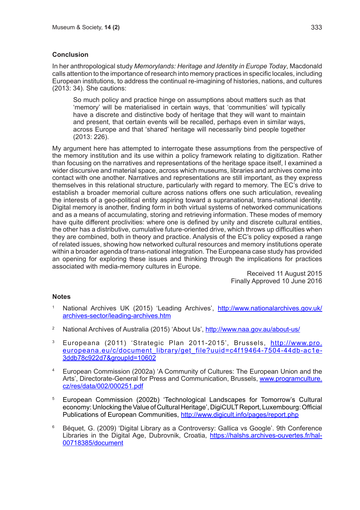# **Conclusion**

In her anthropological study *Memorylands: Heritage and Identity in Europe Today*, Macdonald calls attention to the importance of research into memory practices in specific locales, including European institutions, to address the continual re-imagining of histories, nations, and cultures (2013: 34). She cautions:

So much policy and practice hinge on assumptions about matters such as that 'memory' will be materialised in certain ways, that 'communities' will typically have a discrete and distinctive body of heritage that they will want to maintain and present, that certain events will be recalled, perhaps even in similar ways, across Europe and that 'shared' heritage will necessarily bind people together (2013: 226).

My argument here has attempted to interrogate these assumptions from the perspective of the memory institution and its use within a policy framework relating to digitization. Rather than focusing on the narratives and representations of the heritage space itself, I examined a wider discursive and material space, across which museums, libraries and archives come into contact with one another. Narratives and representations are still important, as they express themselves in this relational structure, particularly with regard to memory. The EC's drive to establish a broader memorial culture across nations offers one such articulation, revealing the interests of a geo-political entity aspiring toward a supranational, trans-national identity. Digital memory is another, finding form in both virtual systems of networked communications and as a means of accumulating, storing and retrieving information. These modes of memory have quite different proclivities: where one is defined by unity and discrete cultural entities, the other has a distributive, cumulative future-oriented drive, which throws up difficulties when they are combined, both in theory and practice. Analysis of the EC's policy exposed a range of related issues, showing how networked cultural resources and memory institutions operate within a broader agenda of trans-national integration. The Europeana case study has provided an opening for exploring these issues and thinking through the implications for practices associated with media-memory cultures in Europe.

Received 11 August 2015 Finally Approved 10 June 2016

## **Notes**

- <sup>1</sup> National Archives UK (2015) 'Leading Archives', http://www.nationalarchives.gov.uk/ archives-sector/leading-archives.htm
- <sup>2</sup> National Archives of Australia (2015) 'About Us', http://www.naa.gov.au/about-us/
- <sup>3</sup> Europeana (2011) 'Strategic Plan 2011-2015', Brussels, http://www.pro. europeana.eu/c/document\_library/get\_file?uuid=c4f19464-7504-44db-ac1e-3ddb78c922d7&groupId=10602
- <sup>4</sup> European Commission (2002a) 'A Community of Cultures: The European Union and the Arts', Directorate-General for Press and Communication, Brussels, www.programculture. cz/res/data/002/000251.pdf
- <sup>5</sup> European Commission (2002b) 'Technological Landscapes for Tomorrow's Cultural economy: Unlocking the Value of Cultural Heritage', DigiCULT Report, Luxembourg: Official Publications of European Communities, http://www.digicult.info/pages/report.php
- <sup>6</sup> Béquet, G. (2009) 'Digital Library as a Controversy: Gallica vs Google'. 9th Conference Libraries in the Digital Age, Dubrovnik, Croatia, https://halshs.archives-ouvertes.fr/hal-00718385/document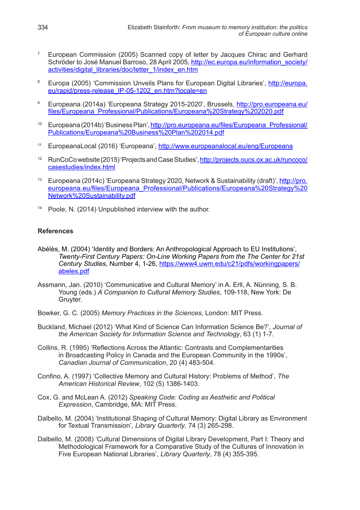- <sup>7</sup> European Commission (2005) Scanned copy of letter by Jacques Chirac and Gerhard Schröder to José Manuel Barroso, 28 April 2005, http://ec.europa.eu/information\_society/ activities/digital\_libraries/doc/letter\_1/index\_en.htm
- <sup>8</sup> Europa (2005) 'Commission Unveils Plans for European Digital Libraries', http://europa. eu/rapid/press-release\_IP-05-1202\_en.htm?locale=en
- 9 Europeana (2014a) 'Europeana Strategy 2015-2020', Brussels, http://pro.europeana.eu/ files/Europeana\_Professional/Publications/Europeana%20Strategy%202020.pdf
- <sup>10</sup> Europeana (2014b) 'Business Plan', http://pro.europeana.eu/files/Europeana\_Professional/ Publications/Europeana%20Business%20Plan%202014.pdf
- <sup>11</sup> EuropeanaLocal (2016) 'Europeana', http://www.europeanalocal.eu/eng/Europeana
- <sup>12</sup> RunCoCo website (2015) 'Projects and Case Studies', http://projects.oucs.ox.ac.uk/runcoco/ casestudies/index.html
- <sup>13</sup> Europeana (2014c) 'Europeana Strategy 2020, Network & Sustainability (draft)', http://pro. europeana.eu/files/Europeana\_Professional/Publications/Europeana%20Strategy%20 Network%20Sustainability.pdf
- <sup>14</sup> Poole, N. (2014) Unpublished interview with the author.

# **References**

- Abélès, M. (2004) 'Identity and Borders: An Anthropological Approach to EU Institutions', *Twenty-First Century Papers: On-Line Working Papers from the The Center for 21st Century Studies*, Number 4, 1-26, https://www4.uwm.edu/c21/pdfs/workingpapers/ abeles.pdf
- Assmann, Jan. (2010) 'Communicative and Cultural Memory' in A. Erll, A. Nünning, S. B. Young (eds.) *A Companion to Cultural Memory Studies*, 109-118, New York: De Gruyter.
- Bowker, G. C. (2005) *Memory Practices in the Sciences*, London: MIT Press.
- Buckland, Michael (2012) 'What Kind of Science Can Information Science Be?', *Journal of the American Society for Information Science and Technology*, 63 (1) 1-7.
- Collins, R. (1995) 'Reflections Across the Atlantic: Contrasts and Complementarities in Broadcasting Policy in Canada and the European Community in the 1990s', *Canadian Journal of Communication*, 20 (4) 483-504.
- Confino, A. (1997) 'Collective Memory and Cultural History: Problems of Method', *The American Historical Review*, 102 (5) 1386-1403.
- Cox, G. and McLean A. (2012) *Speaking Code: Coding as Aesthetic and Political Expression*, Cambridge, MA: MIT Press.
- Dalbello, M. (2004) 'Institutional Shaping of Cultural Memory: Digital Library as Environment for Textual Transmission', *Library Quarterly*, 74 (3) 265-298.
- Dalbello, M. (2008) 'Cultural Dimensions of Digital Library Development, Part I: Theory and Methodological Framework for a Comparative Study of the Cultures of Innovation in Five European National Libraries', *Library Quarterly*, 78 (4) 355-395.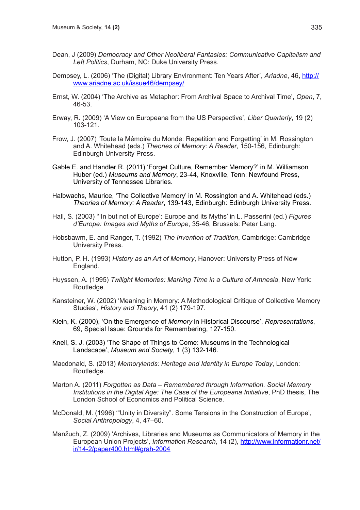- Dean, J (2009) *Democracy and Other Neoliberal Fantasies: Communicative Capitalism and Left Politics*, Durham, NC: Duke University Press.
- Dempsey, L. (2006) 'The (Digital) Library Environment: Ten Years After', *Ariadne*, 46, http:// www.ariadne.ac.uk/issue46/dempsey/
- Ernst, W. (2004) 'The Archive as Metaphor: From Archival Space to Archival Time', *Open*, 7, 46-53.
- Erway, R. (2009) 'A View on Europeana from the US Perspective', *Liber Quarterly*, 19 (2) 103-121.
- Frow, J. (2007) 'Toute la Mémoire du Monde: Repetition and Forgetting' in M. Rossington and A. Whitehead (eds.) *Theories of Memory: A Reader*, 150-156, Edinburgh: Edinburgh University Press.
- Gable E. and Handler R. (2011) 'Forget Culture, Remember Memory?' in M. Williamson Huber (ed.) *Museums and Memory*, 23-44, Knoxville, Tenn: Newfound Press, University of Tennessee Libraries.
- Halbwachs, Maurice, 'The Collective Memory' in M. Rossington and A. Whitehead (eds.) *Theories of Memory: A Reader*, 139-143, Edinburgh: Edinburgh University Press.
- Hall, S. (2003) '''In but not of Europe': Europe and its Myths' in L. Passerini (ed.) *Figures d'Europe: Images and Myths of Europe*, 35-46, Brussels: Peter Lang.
- Hobsbawm, E. and Ranger, T. (1992) *The Invention of Tradition*, Cambridge: Cambridge University Press.
- Hutton, P. H. (1993) *History as an Art of Memory*, Hanover: University Press of New England.
- Huyssen, A. (1995) *Twilight Memories: Marking Time in a Culture of Amnesia*, New York: Routledge.
- Kansteiner, W. (2002) 'Meaning in Memory: A Methodological Critique of Collective Memory Studies', *History and Theory*, 41 (2) 179-197.
- Klein, K. (2000), 'On the Emergence of *Memory* in Historical Discourse', *Representations*, 69, Special Issue: Grounds for Remembering, 127-150.
- Knell, S. J. (2003) 'The Shape of Things to Come: Museums in the Technological Landscape', *Museum and Society*, 1 (3) 132-146.
- Macdonald, S. (2013) *Memorylands: Heritage and Identity in Europe Today*, London: Routledge.
- Marton A. (2011) *Forgotten as Data Remembered through Information. Social Memory Institutions in the Digital Age: The Case of the Europeana Initiative*, PhD thesis, The London School of Economics and Political Science.
- McDonald, M. (1996) '"Unity in Diversity". Some Tensions in the Construction of Europe', *Social Anthropology*, 4, 47–60.
- Manžuch, Z. (2009) 'Archives, Libraries and Museums as Communicators of Memory in the European Union Projects', *Information Research*, 14 (2), http://www.informationr.net/ ir/14-2/paper400.html#grah-2004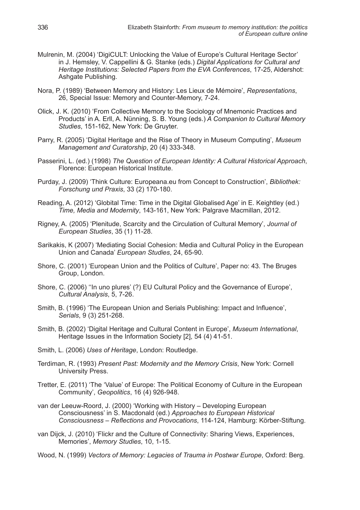- Mulrenin, M. (2004) 'DigiCULT: Unlocking the Value of Europe's Cultural Heritage Sector' in J. Hemsley, V. Cappellini & G. Stanke (eds.) *Digital Applications for Cultural and Heritage Institutions: Selected Papers from the EVA Conferences*, 17-25, Aldershot: Ashgate Publishing.
- Nora, P. (1989) 'Between Memory and History: Les Lieux de Mémoire', *Representations*, 26, Special Issue: Memory and Counter-Memory, 7-24.
- Olick, J. K. (2010) 'From Collective Memory to the Sociology of Mnemonic Practices and Products' in A. Erll, A. Nünning, S. B. Young (eds.) *A Companion to Cultural Memory Studies*, 151-162, New York: De Gruyter.
- Parry, R. (2005) 'Digital Heritage and the Rise of Theory in Museum Computing', *Museum Management and Curatorship*, 20 (4) 333-348.
- Passerini, L. (ed.) (1998) *The Question of European Identity: A Cultural Historical Approach*, Florence: European Historical Institute.
- Purday, J. (2009) 'Think Culture: Europeana.eu from Concept to Construction', *Bibliothek: Forschung und Praxis*, 33 (2) 170-180.
- Reading, A. (2012) 'Globital Time: Time in the Digital Globalised Age' in E. Keightley (ed.) *Time, Media and Modernity*, 143-161, New York: Palgrave Macmillan, 2012.
- Rigney, A. (2005) 'Plenitude, Scarcity and the Circulation of Cultural Memory', *Journal of European Studies*, 35 (1) 11-28.
- Sarikakis, K (2007) 'Mediating Social Cohesion: Media and Cultural Policy in the European Union and Canada' *European Studies*, 24, 65-90.
- Shore, C. (2001) 'European Union and the Politics of Culture', Paper no: 43. The Bruges Group, London.
- Shore, C. (2006) ''In uno plures' (?) EU Cultural Policy and the Governance of Europe', *Cultural Analysis*, 5, 7-26.
- Smith, B. (1996) 'The European Union and Serials Publishing: Impact and Influence', *Serials*, 9 (3) 251-268.
- Smith, B. (2002) 'Digital Heritage and Cultural Content in Europe', *Museum International*, Heritage Issues in the Information Society [2], 54 (4) 41-51.
- Smith, L. (2006) *Uses of Heritage*, London: Routledge.
- Terdiman, R. (1993) *Present Past: Modernity and the Memory Crisis*, New York: Cornell University Press.
- Tretter, E. (2011) 'The 'Value' of Europe: The Political Economy of Culture in the European Community', *Geopolitics*, 16 (4) 926-948.
- van der Leeuw-Roord, J. (2000) 'Working with History Developing European Consciousness' in S. Macdonald (ed.) *Approaches to European Historical Consciousness – Reflections and Provocations*, 114-124, Hamburg: Körber-Stiftung.
- van Dijck, J. (2010) 'Flickr and the Culture of Connectivity: Sharing Views, Experiences, Memories', *Memory Studies*, 10, 1-15.

Wood, N. (1999) *Vectors of Memory: Legacies of Trauma in Postwar Europe*, Oxford: Berg.